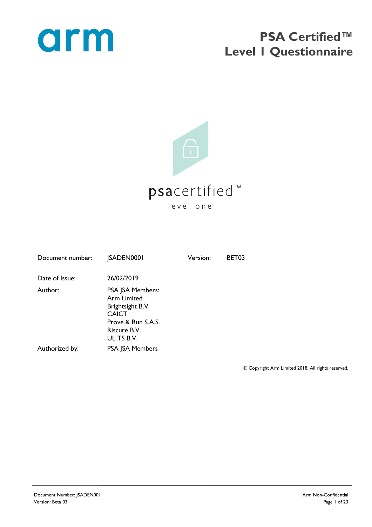

## **PSA Certified™ Level 1 Questionnaire**



| Document number: | <b>JSADEN0001</b>                                                                                                       | Version: | BET03 |
|------------------|-------------------------------------------------------------------------------------------------------------------------|----------|-------|
| Date of Issue:   | 26/02/2019                                                                                                              |          |       |
| Author:          | PSA JSA Members:<br>Arm Limited<br>Brightsight B.V.<br><b>CAICT</b><br>Prove & Run S.A.S.<br>Riscure B.V.<br>UL TS B.V. |          |       |
| Authorized by:   | <b>PSA JSA Members</b>                                                                                                  |          |       |

© Copyright Arm Limited 2018. All rights reserved.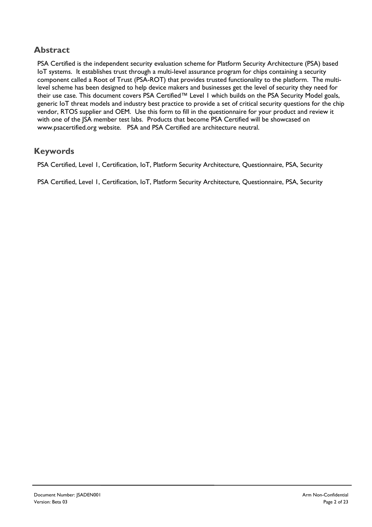#### **Abstract**

PSA Certified is the independent security evaluation scheme for Platform Security Architecture (PSA) based IoT systems. It establishes trust through a multi-level assurance program for chips containing a security component called a Root of Trust (PSA-ROT) that provides trusted functionality to the platform. The multilevel scheme has been designed to help device makers and businesses get the level of security they need for their use case. This document covers PSA Certified™ Level I which builds on the PSA Security Model goals, generic IoT threat models and industry best practice to provide a set of critical security questions for the chip vendor, RTOS supplier and OEM. Use this form to fill in the questionnaire for your product and review it with one of the JSA member test labs. Products that become PSA Certified will be showcased on www.psacertified.org website. PSA and PSA Certified are architecture neutral.

#### **Keywords**

PSA Certified, Level 1, Certification, IoT, Platform Security Architecture, Questionnaire, PSA, Security

PSA Certified, Level 1, Certification, IoT, Platform Security Architecture, Questionnaire, PSA, Security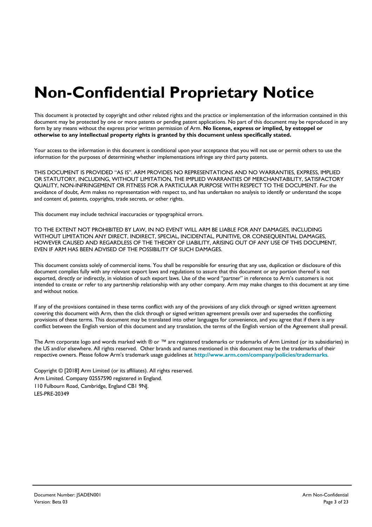# **Non-Confidential Proprietary Notice**

This document is protected by copyright and other related rights and the practice or implementation of the information contained in this document may be protected by one or more patents or pending patent applications. No part of this document may be reproduced in any form by any means without the express prior written permission of Arm. **No license, express or implied, by estoppel or otherwise to any intellectual property rights is granted by this document unless specifically stated.**

Your access to the information in this document is conditional upon your acceptance that you will not use or permit others to use the information for the purposes of determining whether implementations infringe any third party patents.

THIS DOCUMENT IS PROVIDED "AS IS". ARM PROVIDES NO REPRESENTATIONS AND NO WARRANTIES, EXPRESS, IMPLIED OR STATUTORY, INCLUDING, WITHOUT LIMITATION, THE IMPLIED WARRANTIES OF MERCHANTABILITY, SATISFACTORY QUALITY, NON-INFRINGEMENT OR FITNESS FOR A PARTICULAR PURPOSE WITH RESPECT TO THE DOCUMENT. For the avoidance of doubt, Arm makes no representation with respect to, and has undertaken no analysis to identify or understand the scope and content of, patents, copyrights, trade secrets, or other rights.

This document may include technical inaccuracies or typographical errors.

TO THE EXTENT NOT PROHIBITED BY LAW, IN NO EVENT WILL ARM BE LIABLE FOR ANY DAMAGES, INCLUDING WITHOUT LIMITATION ANY DIRECT, INDIRECT, SPECIAL, INCIDENTAL, PUNITIVE, OR CONSEQUENTIAL DAMAGES, HOWEVER CAUSED AND REGARDLESS OF THE THEORY OF LIABILITY, ARISING OUT OF ANY USE OF THIS DOCUMENT, EVEN IF ARM HAS BEEN ADVISED OF THE POSSIBILITY OF SUCH DAMAGES.

This document consists solely of commercial items. You shall be responsible for ensuring that any use, duplication or disclosure of this document complies fully with any relevant export laws and regulations to assure that this document or any portion thereof is not exported, directly or indirectly, in violation of such export laws. Use of the word "partner" in reference to Arm's customers is not intended to create or refer to any partnership relationship with any other company. Arm may make changes to this document at any time and without notice.

If any of the provisions contained in these terms conflict with any of the provisions of any click through or signed written agreement covering this document with Arm, then the click through or signed written agreement prevails over and supersedes the conflicting provisions of these terms. This document may be translated into other languages for convenience, and you agree that if there is any conflict between the English version of this document and any translation, the terms of the English version of the Agreement shall prevail.

The Arm corporate logo and words marked with ® or ™ are registered trademarks or trademarks of Arm Limited (or its subsidiaries) in the US and/or elsewhere. All rights reserved. Other brands and names mentioned in this document may be the trademarks of their respective owners. Please follow Arm's trademark usage guidelines at **http://www.arm.com/company/policies/trademarks**.

Copyright © [2018] Arm Limited (or its affiliates). All rights reserved. Arm Limited. Company 02557590 registered in England. 110 Fulbourn Road, Cambridge, England CB1 9NJ. LES-PRE-20349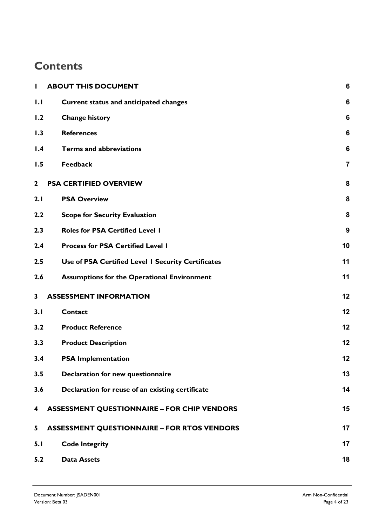### **Contents**

| L            | <b>ABOUT THIS DOCUMENT</b>                         | 6                |
|--------------|----------------------------------------------------|------------------|
| 1.1          | <b>Current status and anticipated changes</b>      | 6                |
| 1.2          | <b>Change history</b>                              | 6                |
| 1.3          | <b>References</b>                                  | $6\phantom{1}6$  |
| 1.4          | <b>Terms and abbreviations</b>                     | $6\phantom{1}6$  |
| 1.5          | <b>Feedback</b>                                    | $\overline{7}$   |
| $\mathbf{2}$ | <b>PSA CERTIFIED OVERVIEW</b>                      | 8                |
| 2.1          | <b>PSA Overview</b>                                | 8                |
| 2.2          | <b>Scope for Security Evaluation</b>               | 8                |
| 2.3          | <b>Roles for PSA Certified Level I</b>             | $\boldsymbol{9}$ |
| 2.4          | <b>Process for PSA Certified Level I</b>           | 10               |
| 2.5          | Use of PSA Certified Level I Security Certificates | 11               |
| 2.6          | <b>Assumptions for the Operational Environment</b> | 11               |
| 3            | <b>ASSESSMENT INFORMATION</b>                      | 12               |
| 3.1          | <b>Contact</b>                                     | 12               |
| 3.2          | <b>Product Reference</b>                           | 12               |
| 3.3          | <b>Product Description</b>                         | 12               |
| 3.4          | <b>PSA Implementation</b>                          | 12               |
| 3.5          | Declaration for new questionnaire                  | 13               |
| 3.6          | Declaration for reuse of an existing certificate   | 14               |
| 4            | <b>ASSESSMENT QUESTIONNAIRE - FOR CHIP VENDORS</b> | 15               |
| 5            | <b>ASSESSMENT QUESTIONNAIRE - FOR RTOS VENDORS</b> | 17               |
| 5.1          | <b>Code Integrity</b>                              | 17               |
| 5.2          | <b>Data Assets</b>                                 | 18               |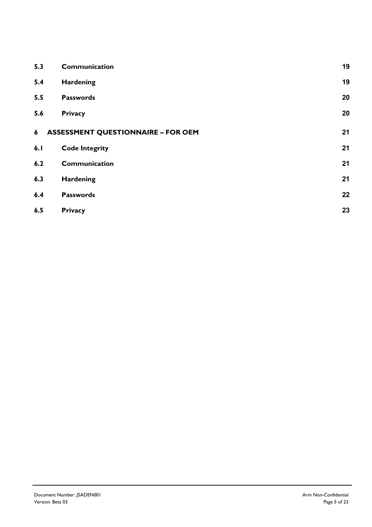| 5.3 | Communication                             | 19 |
|-----|-------------------------------------------|----|
| 5.4 | <b>Hardening</b>                          | 19 |
| 5.5 | <b>Passwords</b>                          | 20 |
| 5.6 | <b>Privacy</b>                            | 20 |
| 6   | <b>ASSESSMENT QUESTIONNAIRE - FOR OEM</b> | 21 |
| 6.1 | <b>Code Integrity</b>                     | 21 |
| 6.2 | Communication                             | 21 |
| 6.3 | Hardening                                 | 21 |
| 6.4 | <b>Passwords</b>                          | 22 |
| 6.5 | <b>Privacy</b>                            | 23 |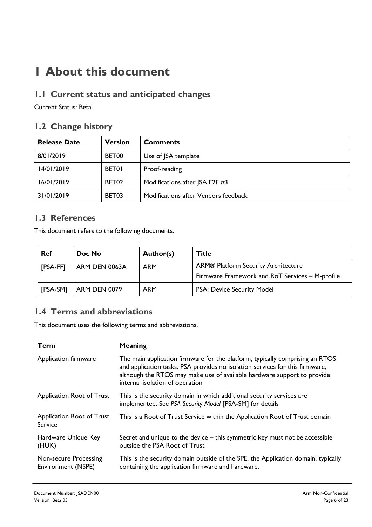## **1 About this document**

#### **1.1 Current status and anticipated changes**

Current Status: Beta

#### **1.2 Change history**

| <b>Release Date</b> | <b>Version</b> | <b>Comments</b>                      |
|---------------------|----------------|--------------------------------------|
| 8/01/2019           | BET00          | Use of JSA template                  |
| 14/01/2019          | <b>BET01</b>   | Proof-reading                        |
| 16/01/2019          | BET02          | Modifications after JSA F2F #3       |
| 31/01/2019          | BET03          | Modifications after Vendors feedback |

#### **1.3 References**

This document refers to the following documents.

| <b>Ref</b> | Doc No              | Author(s)  | <b>Title</b>                                    |
|------------|---------------------|------------|-------------------------------------------------|
| [PSA-FF]   | ARM DEN 0063A       | <b>ARM</b> | ARM® Platform Security Architecture             |
|            |                     |            | Firmware Framework and RoT Services - M-profile |
| [PSA-SM]   | <b>ARM DEN 0079</b> | <b>ARM</b> | PSA: Device Security Model                      |

#### **1.4 Terms and abbreviations**

This document uses the following terms and abbreviations.

| <b>Term</b>                                 | <b>Meaning</b>                                                                                                                                                                                                                                                             |
|---------------------------------------------|----------------------------------------------------------------------------------------------------------------------------------------------------------------------------------------------------------------------------------------------------------------------------|
| Application firmware                        | The main application firmware for the platform, typically comprising an RTOS<br>and application tasks. PSA provides no isolation services for this firmware,<br>although the RTOS may make use of available hardware support to provide<br>internal isolation of operation |
| Application Root of Trust                   | This is the security domain in which additional security services are<br>implemented. See PSA Security Model [PSA-SM] for details                                                                                                                                          |
| Application Root of Trust<br>Service        | This is a Root of Trust Service within the Application Root of Trust domain                                                                                                                                                                                                |
| Hardware Unique Key<br>(HUK)                | Secret and unique to the device – this symmetric key must not be accessible<br>outside the PSA Root of Trust                                                                                                                                                               |
| Non-secure Processing<br>Environment (NSPE) | This is the security domain outside of the SPE, the Application domain, typically<br>containing the application firmware and hardware.                                                                                                                                     |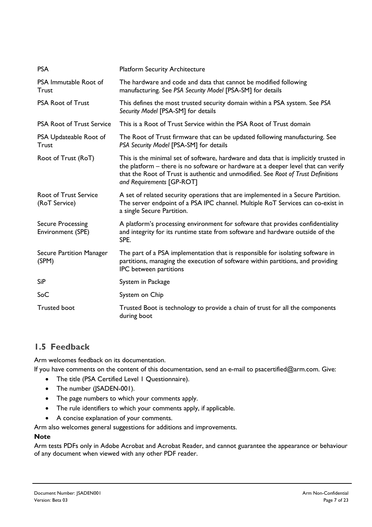| <b>Platform Security Architecture</b>                                                                                                                                                                                                                                                       |
|---------------------------------------------------------------------------------------------------------------------------------------------------------------------------------------------------------------------------------------------------------------------------------------------|
| The hardware and code and data that cannot be modified following<br>manufacturing. See PSA Security Model [PSA-SM] for details                                                                                                                                                              |
| This defines the most trusted security domain within a PSA system. See PSA<br>Security Model [PSA-SM] for details                                                                                                                                                                           |
| This is a Root of Trust Service within the PSA Root of Trust domain                                                                                                                                                                                                                         |
| The Root of Trust firmware that can be updated following manufacturing. See<br>PSA Security Model [PSA-SM] for details                                                                                                                                                                      |
| This is the minimal set of software, hardware and data that is implicitly trusted in<br>the platform - there is no software or hardware at a deeper level that can verify<br>that the Root of Trust is authentic and unmodified. See Root of Trust Definitions<br>and Requirements [GP-ROT] |
| A set of related security operations that are implemented in a Secure Partition.<br>The server endpoint of a PSA IPC channel. Multiple RoT Services can co-exist in<br>a single Secure Partition.                                                                                           |
| A platform's processing environment for software that provides confidentiality<br>and integrity for its runtime state from software and hardware outside of the<br>SPE.                                                                                                                     |
| The part of a PSA implementation that is responsible for isolating software in<br>partitions, managing the execution of software within partitions, and providing<br>IPC between partitions                                                                                                 |
| System in Package                                                                                                                                                                                                                                                                           |
| System on Chip                                                                                                                                                                                                                                                                              |
| Trusted Boot is technology to provide a chain of trust for all the components<br>during boot                                                                                                                                                                                                |
|                                                                                                                                                                                                                                                                                             |

#### **1.5 Feedback**

Arm welcomes feedback on its documentation.

If you have comments on the content of this documentation, send an e-mail to psacertified@arm.com. Give:

- The title (PSA Certified Level 1 Questionnaire).
- The number (JSADEN-001).
- The page numbers to which your comments apply.
- The rule identifiers to which your comments apply, if applicable.
- A concise explanation of your comments.

Arm also welcomes general suggestions for additions and improvements.

#### **Note**

Arm tests PDFs only in Adobe Acrobat and Acrobat Reader, and cannot guarantee the appearance or behaviour of any document when viewed with any other PDF reader.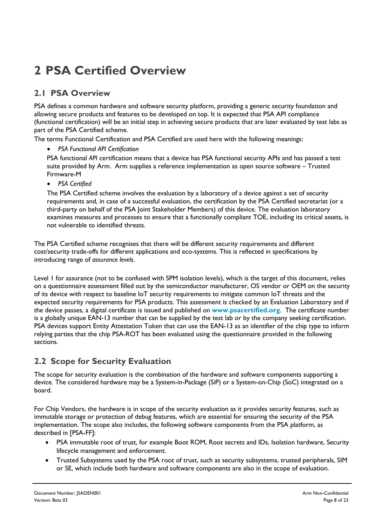## **2 PSA Certified Overview**

#### **2.1 PSA Overview**

PSA defines a common hardware and software security platform, providing a generic security foundation and allowing secure products and features to be developed on top. It is expected that PSA API compliance (functional certification) will be an initial step in achieving secure products that are later evaluated by test labs as part of the PSA Certified scheme.

The terms Functional Certification and PSA Certified are used here with the following meanings:

• *PSA Functional API Certification*

PSA functional *API* certification means that a device has PSA functional security APIs and has passed a test suite provided by Arm. Arm supplies a reference implementation as open source software – Trusted Firmware-M

• *PSA Certified*

The PSA Certified scheme involves the evaluation by a laboratory of a device against a set of security requirements and, in case of a successful evaluation, the certification by the PSA Certified secretariat (or a third-party on behalf of the PSA Joint Stakeholder Members) of this device. The evaluation laboratory examines measures and processes to ensure that a functionally compliant TOE, including its critical assets, is not vulnerable to identified threats.

The PSA Certified scheme recognises that there will be different security requirements and different cost/security trade-offs for different applications and eco-systems. This is reflected in specifications by introducing range of *assurance levels*.

Level 1 for assurance (not to be confused with SPM isolation levels), which is the target of this document, relies on a questionnaire assessment filled out by the semiconductor manufacturer, OS vendor or OEM on the security of its device with respect to baseline IoT security requirements to mitigate common IoT threats and the expected security requirements for PSA products. This assessment is checked by an Evaluation Laboratory and if the device passes, a digital certificate is issued and published on **www.psacertified.org**. The certificate number is a globally unique EAN-13 number that can be supplied by the test lab or by the company seeking certification. PSA devices support Entity Attestation Token that can use the EAN-13 as an identifier of the chip type to inform relying parties that the chip PSA-ROT has been evaluated using the questionnaire provided in the following sections.

#### **2.2 Scope for Security Evaluation**

The scope for security evaluation is the combination of the hardware and software components supporting a device. The considered hardware may be a System-in-Package (SiP) or a System-on-Chip (SoC) integrated on a board.

For Chip Vendors, the hardware is in scope of the security evaluation as it provides security features, such as immutable storage or protection of debug features, which are essential for ensuring the security of the PSA implementation. The scope also includes, the following software components from the PSA platform, as described in [PSA-FF]:

- PSA immutable root of trust, for example Boot ROM, Root secrets and IDs, Isolation hardware, Security lifecycle management and enforcement.
- Trusted Subsystems used by the PSA root of trust, such as security subsystems, trusted peripherals, SIM or SE, which include both hardware and software components are also in the scope of evaluation.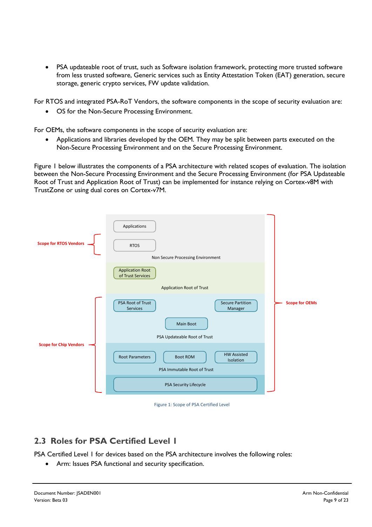• PSA updateable root of trust, such as Software isolation framework, protecting more trusted software from less trusted software, Generic services such as Entity Attestation Token (EAT) generation, secure storage, generic crypto services, FW update validation.

For RTOS and integrated PSA-RoT Vendors, the software components in the scope of security evaluation are:

• OS for the Non-Secure Processing Environment.

For OEMs, the software components in the scope of security evaluation are:

• Applications and libraries developed by the OEM. They may be split between parts executed on the Non-Secure Processing Environment and on the Secure Processing Environment.

Figure 1 below illustrates the components of a PSA architecture with related scopes of evaluation. The isolation between the Non-Secure Processing Environment and the Secure Processing Environment (for PSA Updateable Root of Trust and Application Root of Trust) can be implemented for instance relying on Cortex-v8M with TrustZone or using dual cores on Cortex-v7M.



Figure 1: Scope of PSA Certified Level

#### **2.3 Roles for PSA Certified Level 1**

PSA Certified Level 1 for devices based on the PSA architecture involves the following roles:

Arm: Issues PSA functional and security specification.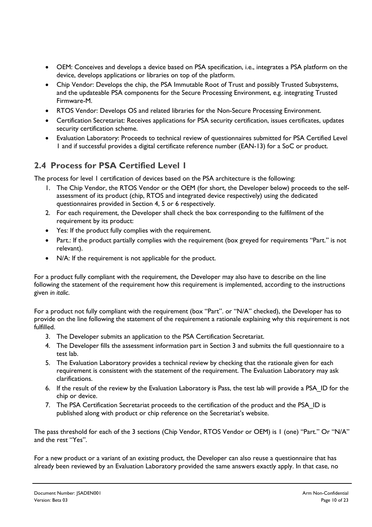- OEM: Conceives and develops a device based on PSA specification, i.e., integrates a PSA platform on the device, develops applications or libraries on top of the platform.
- Chip Vendor: Develops the chip, the PSA Immutable Root of Trust and possibly Trusted Subsystems, and the updateable PSA components for the Secure Processing Environment, e.g. integrating Trusted Firmware-M.
- RTOS Vendor: Develops OS and related libraries for the Non-Secure Processing Environment.
- Certification Secretariat: Receives applications for PSA security certification, issues certificates, updates security certification scheme.
- Evaluation Laboratory: Proceeds to technical review of questionnaires submitted for PSA Certified Level 1 and if successful provides a digital certificate reference number (EAN-13) for a SoC or product.

#### **2.4 Process for PSA Certified Level 1**

The process for level 1 certification of devices based on the PSA architecture is the following:

- 1. The Chip Vendor, the RTOS Vendor or the OEM (for short, the Developer below) proceeds to the selfassessment of its product (chip, RTOS and integrated device respectively) using the dedicated questionnaires provided in Section 4, 5 or 6 respectively.
- 2. For each requirement, the Developer shall check the box corresponding to the fulfilment of the requirement by its product:
- Yes: If the product fully complies with the requirement.
- Part.: If the product partially complies with the requirement (box greyed for requirements "Part." is not relevant).
- N/A: If the requirement is not applicable for the product.

For a product fully compliant with the requirement, the Developer may also have to describe on the line following the statement of the requirement how this requirement is implemented, according to the instructions given *in italic*.

For a product not fully compliant with the requirement (box "Part". or "N/A" checked), the Developer has to provide on the line following the statement of the requirement a rationale explaining why this requirement is not fulfilled.

- 3. The Developer submits an application to the PSA Certification Secretariat.
- 4. The Developer fills the assessment information part in Section 3 and submits the full questionnaire to a test lab.
- 5. The Evaluation Laboratory provides a technical review by checking that the rationale given for each requirement is consistent with the statement of the requirement. The Evaluation Laboratory may ask clarifications.
- 6. If the result of the review by the Evaluation Laboratory is Pass, the test lab will provide a PSA\_ID for the chip or device.
- 7. The PSA Certification Secretariat proceeds to the certification of the product and the PSA ID is published along with product or chip reference on the Secretariat's website.

The pass threshold for each of the 3 sections (Chip Vendor, RTOS Vendor or OEM) is 1 (one) "Part." Or "N/A" and the rest "Yes".

For a new product or a variant of an existing product, the Developer can also reuse a questionnaire that has already been reviewed by an Evaluation Laboratory provided the same answers exactly apply. In that case, no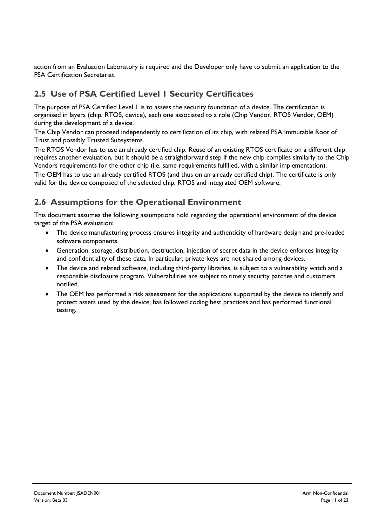action from an Evaluation Laboratory is required and the Developer only have to submit an application to the PSA Certification Secretariat.

### **2.5 Use of PSA Certified Level 1 Security Certificates**

The purpose of PSA Certified Level 1 is to assess the security foundation of a device. The certification is organised in layers (chip, RTOS, device), each one associated to a role (Chip Vendor, RTOS Vendor, OEM) during the development of a device.

The Chip Vendor can proceed independently to certification of its chip, with related PSA Immutable Root of Trust and possibly Trusted Subsystems.

The RTOS Vendor has to use an already certified chip. Reuse of an existing RTOS certificate on a different chip requires another evaluation, but it should be a straightforward step if the new chip complies similarly to the Chip Vendors requirements for the other chip (i.e. same requirements fulfilled, with a similar implementation).

The OEM has to use an already certified RTOS (and thus on an already certified chip). The certificate is only valid for the device composed of the selected chip, RTOS and integrated OEM software.

#### **2.6 Assumptions for the Operational Environment**

This document assumes the following assumptions hold regarding the operational environment of the device target of the PSA evaluation:

- The device manufacturing process ensures integrity and authenticity of hardware design and pre-loaded software components.
- Generation, storage, distribution, destruction, injection of secret data in the device enforces integrity and confidentiality of these data. In particular, private keys are not shared among devices.
- The device and related software, including third-party libraries, is subject to a vulnerability watch and a responsible disclosure program. Vulnerabilities are subject to timely security patches and customers notified.
- The OEM has performed a risk assessment for the applications supported by the device to identify and protect assets used by the device, has followed coding best practices and has performed functional testing.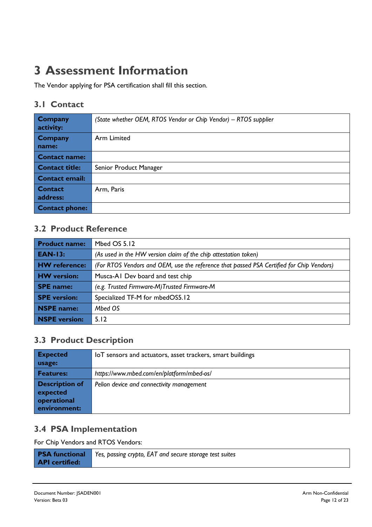## **3 Assessment Information**

The Vendor applying for PSA certification shall fill this section.

#### **3.1 Contact**

| <b>Company</b><br>activity: | (State whether OEM, RTOS Vendor or Chip Vendor) - RTOS supplier |
|-----------------------------|-----------------------------------------------------------------|
| <b>Company</b><br>name:     | Arm Limited                                                     |
| <b>Contact name:</b>        |                                                                 |
| <b>Contact title:</b>       | Senior Product Manager                                          |
| <b>Contact email:</b>       |                                                                 |
| <b>Contact</b><br>address:  | Arm, Paris                                                      |
| <b>Contact phone:</b>       |                                                                 |

#### **3.2 Product Reference**

| <b>Product name:</b> | Mbed OS 5.12                                                                             |
|----------------------|------------------------------------------------------------------------------------------|
| <b>EAN-13:</b>       | (As used in the HW version claim of the chip attestation token)                          |
| <b>HW</b> reference: | (For RTOS Vendors and OEM, use the reference that passed PSA Certified for Chip Vendors) |
| <b>HW</b> version:   | Musca-AI Dev board and test chip                                                         |
| <b>SPE</b> name:     | (e.g. Trusted Firmware-M)Trusted Firmware-M                                              |
| <b>SPE</b> version:  | Specialized TF-M for mbedOS5.12                                                          |
| NSPE name:           | Mbed OS                                                                                  |
| <b>NSPE</b> version: | 5.12                                                                                     |

#### **3.3 Product Description**

| <b>Expected</b>                                                  | IoT sensors and actuators, asset trackers, smart buildings |
|------------------------------------------------------------------|------------------------------------------------------------|
| usage:                                                           |                                                            |
| <b>Features:</b>                                                 | https://www.mbed.com/en/platform/mbed-os/                  |
| <b>Description of</b><br>expected<br>operational<br>environment: | Pelion device and connectivity management                  |

#### **3.4 PSA Implementation**

For Chip Vendors and RTOS Vendors:

|                       | <b>PSA functional</b> Yes, passing crypto, EAT and secure storage test suites |
|-----------------------|-------------------------------------------------------------------------------|
| <b>API</b> certified: |                                                                               |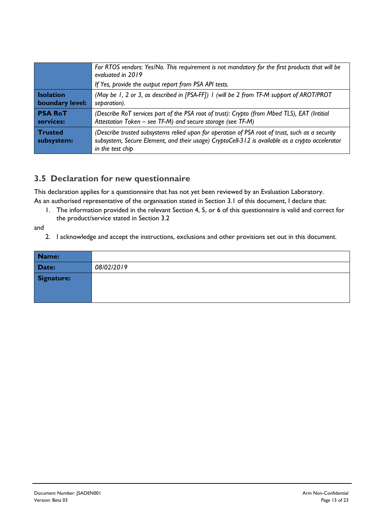|                              | For RTOS vendors: Yes/No. This requirement is not mandatory for the first products that will be<br>evaluated in 2019<br>If Yes, provide the output report from PSA API tests.                                          |
|------------------------------|------------------------------------------------------------------------------------------------------------------------------------------------------------------------------------------------------------------------|
| <b>Isolation</b>             | (May be 1, 2 or 3, as described in [PSA-FF]) I (will be 2 from TF-M support of AROT/PROT                                                                                                                               |
| boundary level:              | separation).                                                                                                                                                                                                           |
| <b>PSA RoT</b>               | (Describe RoT services part of the PSA root of trust): Crypto (from Mbed TLS), EAT (Intitial                                                                                                                           |
| services:                    | Attestation Token - see TF-M) and secure storage (see TF-M)                                                                                                                                                            |
| <b>Trusted</b><br>subsystem: | (Describe trusted subsystems relied upon for operation of PSA root of trust, such as a security<br>subsystem, Secure Element, and their usage) CryptoCell-312 is available as a crypto accelerator<br>in the test chip |

#### **3.5 Declaration for new questionnaire**

This declaration applies for a questionnaire that has not yet been reviewed by an Evaluation Laboratory. As an authorised representative of the organisation stated in Section 3.1 of this document, I declare that:

1. The information provided in the relevant Section 4, 5, or 6 of this questionnaire is valid and correct for the product/service stated in Section 3.2

and

2. I acknowledge and accept the instructions, exclusions and other provisions set out in this document.

| Name:      |            |
|------------|------------|
| Date:      | 08/02/2019 |
| Signature: |            |
|            |            |
|            |            |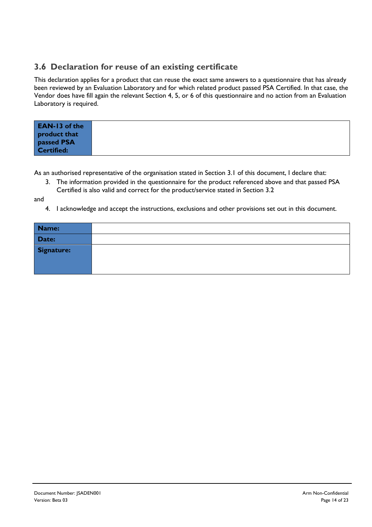#### **3.6 Declaration for reuse of an existing certificate**

This declaration applies for a product that can reuse the exact same answers to a questionnaire that has already been reviewed by an Evaluation Laboratory and for which related product passed PSA Certified. In that case, the Vendor does have fill again the relevant Section 4, 5, or 6 of this questionnaire and no action from an Evaluation Laboratory is required.

| <b>EAN-13 of the</b><br>product that |  |
|--------------------------------------|--|
| passed PSA<br>Certified:             |  |

As an authorised representative of the organisation stated in Section 3.1 of this document, I declare that:

3. The information provided in the questionnaire for the product referenced above and that passed PSA Certified is also valid and correct for the product/service stated in Section 3.2

and

4. I acknowledge and accept the instructions, exclusions and other provisions set out in this document.

| Name:      |  |
|------------|--|
| Date:      |  |
| Signature: |  |
|            |  |
|            |  |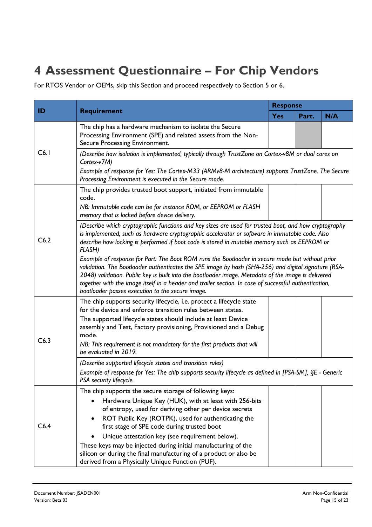## **4 Assessment Questionnaire – For Chip Vendors**

For RTOS Vendor or OEMs, skip this Section and proceed respectively to Section 5 or 6.

| ID   | <b>Requirement</b>                                                                                                                                                                                                                                                                                                                                                                                                                                                          | <b>Response</b> |       |     |  |  |
|------|-----------------------------------------------------------------------------------------------------------------------------------------------------------------------------------------------------------------------------------------------------------------------------------------------------------------------------------------------------------------------------------------------------------------------------------------------------------------------------|-----------------|-------|-----|--|--|
|      |                                                                                                                                                                                                                                                                                                                                                                                                                                                                             | <b>Yes</b>      | Part. | N/A |  |  |
|      | The chip has a hardware mechanism to isolate the Secure<br>Processing Environment (SPE) and related assets from the Non-<br>Secure Processing Environment.                                                                                                                                                                                                                                                                                                                  |                 |       |     |  |  |
| C6.1 | (Describe how isolation is implemented, typically through TrustZone on Cortex-v8M or dual cores on<br>Cortex-v7M)                                                                                                                                                                                                                                                                                                                                                           |                 |       |     |  |  |
|      | Example of response for Yes: The Cortex-M33 (ARMv8-M architecture) supports TrustZone. The Secure<br>Processing Environment is executed in the Secure mode.                                                                                                                                                                                                                                                                                                                 |                 |       |     |  |  |
|      | The chip provides trusted boot support, initiated from immutable<br>code.<br>NB: Immutable code can be for instance ROM, or EEPROM or FLASH                                                                                                                                                                                                                                                                                                                                 |                 |       |     |  |  |
| C6.2 | memory that is locked before device delivery.<br>(Describe which cryptographic functions and key sizes are used for trusted boot, and how cryptography<br>is implemented, such as hardware cryptographic accelerator or software in immutable code. Also<br>describe how locking is performed if boot code is stored in mutable memory such as EEPROM or<br><b>FLASH)</b>                                                                                                   |                 |       |     |  |  |
|      | Example of response for Part: The Boot ROM runs the Bootloader in secure mode but without prior<br>validation. The Bootloader authenticates the SPE image by hash (SHA-256) and digital signature (RSA-<br>2048) validation. Public key is built into the bootloader image. Metadata of the image is delivered<br>together with the image itself in a header and trailer section. In case of successful authentication,<br>bootloader passes execution to the secure image. |                 |       |     |  |  |
|      | The chip supports security lifecycle, i.e. protect a lifecycle state<br>for the device and enforce transition rules between states.                                                                                                                                                                                                                                                                                                                                         |                 |       |     |  |  |
|      | The supported lifecycle states should include at least Device<br>assembly and Test, Factory provisioning, Provisioned and a Debug<br>mode.                                                                                                                                                                                                                                                                                                                                  |                 |       |     |  |  |
| C6.3 | NB: This requirement is not mandatory for the first products that will<br>be evaluated in 2019.                                                                                                                                                                                                                                                                                                                                                                             |                 |       |     |  |  |
|      | (Describe supported lifecycle states and transition rules)<br>Example of response for Yes: The chip supports security lifecycle as defined in [PSA-SM], §E - Generic<br>PSA security lifecycle.                                                                                                                                                                                                                                                                             |                 |       |     |  |  |
|      | The chip supports the secure storage of following keys:<br>Hardware Unique Key (HUK), with at least with 256-bits                                                                                                                                                                                                                                                                                                                                                           |                 |       |     |  |  |
|      | of entropy, used for deriving other per device secrets                                                                                                                                                                                                                                                                                                                                                                                                                      |                 |       |     |  |  |
| C6.4 | ROT Public Key (ROTPK), used for authenticating the<br>first stage of SPE code during trusted boot                                                                                                                                                                                                                                                                                                                                                                          |                 |       |     |  |  |
|      | Unique attestation key (see requirement below).                                                                                                                                                                                                                                                                                                                                                                                                                             |                 |       |     |  |  |
|      | These keys may be injected during initial manufacturing of the                                                                                                                                                                                                                                                                                                                                                                                                              |                 |       |     |  |  |
|      | silicon or during the final manufacturing of a product or also be<br>derived from a Physically Unique Function (PUF).                                                                                                                                                                                                                                                                                                                                                       |                 |       |     |  |  |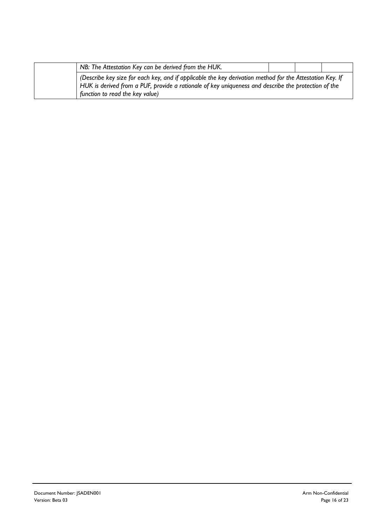|                                 | NB: The Attestation Key can be derived from the HUK.                                                                                                                                                            |  |  |
|---------------------------------|-----------------------------------------------------------------------------------------------------------------------------------------------------------------------------------------------------------------|--|--|
| function to read the key value) | (Describe key size for each key, and if applicable the key derivation method for the Attestation Key. If<br>HUK is derived from a PUF, provide a rationale of key uniqueness and describe the protection of the |  |  |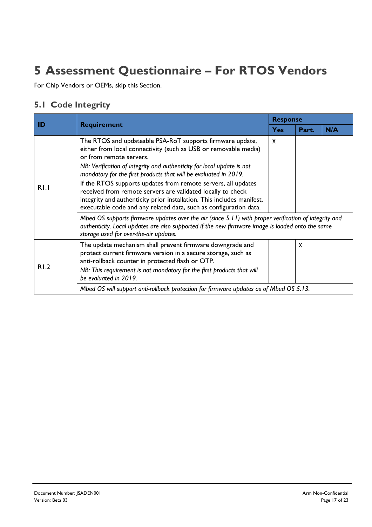## **5 Assessment Questionnaire – For RTOS Vendors**

For Chip Vendors or OEMs, skip this Section.

#### **5.1 Code Integrity**

|      |                                                                                                                                                                                                                                                                                                                                                                                                                                                                                                                                                                                                                                                                                               | <b>Response</b> |                           |     |  |
|------|-----------------------------------------------------------------------------------------------------------------------------------------------------------------------------------------------------------------------------------------------------------------------------------------------------------------------------------------------------------------------------------------------------------------------------------------------------------------------------------------------------------------------------------------------------------------------------------------------------------------------------------------------------------------------------------------------|-----------------|---------------------------|-----|--|
| ID   | <b>Requirement</b>                                                                                                                                                                                                                                                                                                                                                                                                                                                                                                                                                                                                                                                                            | <b>Yes</b>      | Part.                     | N/A |  |
| R1.1 | The RTOS and updateable PSA-RoT supports firmware update,<br>either from local connectivity (such as USB or removable media)<br>or from remote servers.<br>NB: Verification of integrity and authenticity for local update is not<br>mandatory for the first products that will be evaluated in 2019.<br>If the RTOS supports updates from remote servers, all updates<br>received from remote servers are validated locally to check<br>integrity and authenticity prior installation. This includes manifest,<br>executable code and any related data, such as configuration data.<br>Mbed OS supports firmware updates over the air (since 5.11) with proper verification of integrity and | X               |                           |     |  |
|      | authenticity. Local updates are also supported if the new firmware image is loaded onto the same<br>storage used for over-the-air updates.                                                                                                                                                                                                                                                                                                                                                                                                                                                                                                                                                    |                 |                           |     |  |
| R1.2 | The update mechanism shall prevent firmware downgrade and<br>protect current firmware version in a secure storage, such as<br>anti-rollback counter in protected flash or OTP.<br>NB: This requirement is not mandatory for the first products that will                                                                                                                                                                                                                                                                                                                                                                                                                                      |                 | $\boldsymbol{\mathsf{x}}$ |     |  |
|      | be evaluated in 2019.                                                                                                                                                                                                                                                                                                                                                                                                                                                                                                                                                                                                                                                                         |                 |                           |     |  |
|      | Mbed OS will support anti-rollback protection for firmware updates as of Mbed OS 5.13.                                                                                                                                                                                                                                                                                                                                                                                                                                                                                                                                                                                                        |                 |                           |     |  |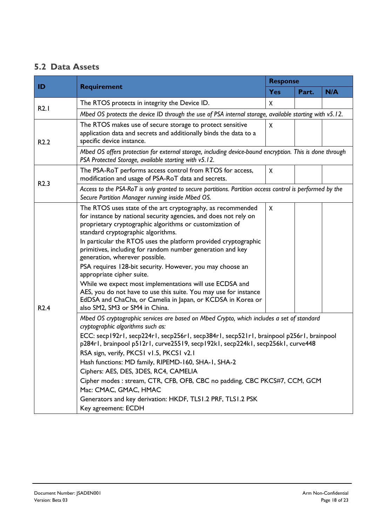#### **5.2 Data Assets**

|                  | <b>Requirement</b>                                                                                                                                                                                                                                                                                                                                                                                                                                                                                                                                                                                                                                                                                                             | <b>Response</b> |       |     |  |
|------------------|--------------------------------------------------------------------------------------------------------------------------------------------------------------------------------------------------------------------------------------------------------------------------------------------------------------------------------------------------------------------------------------------------------------------------------------------------------------------------------------------------------------------------------------------------------------------------------------------------------------------------------------------------------------------------------------------------------------------------------|-----------------|-------|-----|--|
| ID               |                                                                                                                                                                                                                                                                                                                                                                                                                                                                                                                                                                                                                                                                                                                                | <b>Yes</b>      | Part. | N/A |  |
|                  | The RTOS protects in integrity the Device ID.                                                                                                                                                                                                                                                                                                                                                                                                                                                                                                                                                                                                                                                                                  | X               |       |     |  |
| R2.1             | Mbed OS protects the device ID through the use of PSA internal storage, available starting with v5.12.                                                                                                                                                                                                                                                                                                                                                                                                                                                                                                                                                                                                                         |                 |       |     |  |
| R <sub>2.2</sub> | The RTOS makes use of secure storage to protect sensitive<br>application data and secrets and additionally binds the data to a<br>specific device instance.                                                                                                                                                                                                                                                                                                                                                                                                                                                                                                                                                                    | X               |       |     |  |
|                  | Mbed OS offers protection for external storage, including device-bound encryption. This is done through<br>PSA Protected Storage, available starting with v5.12.                                                                                                                                                                                                                                                                                                                                                                                                                                                                                                                                                               |                 |       |     |  |
| R <sub>2.3</sub> | The PSA-RoT performs access control from RTOS for access,<br>modification and usage of PSA-RoT data and secrets.                                                                                                                                                                                                                                                                                                                                                                                                                                                                                                                                                                                                               | X               |       |     |  |
|                  | Access to the PSA-RoT is only granted to secure partitions. Partition access control is performed by the<br>Secure Partition Manager running inside Mbed OS.                                                                                                                                                                                                                                                                                                                                                                                                                                                                                                                                                                   |                 |       |     |  |
| R <sub>2.4</sub> | The RTOS uses state of the art cryptography, as recommended<br>for instance by national security agencies, and does not rely on<br>proprietary cryptographic algorithms or customization of<br>standard cryptographic algorithms.<br>In particular the RTOS uses the platform provided cryptographic<br>primitives, including for random number generation and key<br>generation, wherever possible.<br>PSA requires 128-bit security. However, you may choose an<br>appropriate cipher suite.<br>While we expect most implementations will use ECDSA and<br>AES, you do not have to use this suite. You may use for instance<br>EdDSA and ChaCha, or Camelia in Japan, or KCDSA in Korea or<br>also SM2, SM3 or SM4 in China. | X               |       |     |  |
|                  | Mbed OS cryptographic services are based on Mbed Crypto, which includes a set of standard<br>cryptographic algorithms such as:<br>ECC: secp192r1, secp224r1, secp256r1, secp384r1, secp521r1, brainpool p256r1, brainpool<br>p284r1, brainpool p512r1, curve25519, secp192k1, secp224k1, secp256k1, curve448<br>RSA sign, verify, PKCS1 v1.5, PKCS1 v2.1<br>Hash functions: MD family, RIPEMD-160, SHA-1, SHA-2<br>Ciphers: AES, DES, 3DES, RC4, CAMELIA<br>Cipher modes : stream, CTR, CFB, OFB, CBC no padding, CBC PKCS#7, CCM, GCM<br>Mac: CMAC, GMAC, HMAC<br>Generators and key derivation: HKDF, TLS1.2 PRF, TLS1.2 PSK<br>Key agreement: ECDH                                                                          |                 |       |     |  |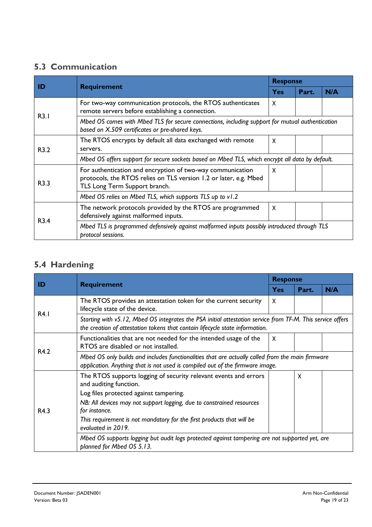### **5.3 Communication**

|      |                                                                                                                                                                  | <b>Response</b>           |       |     |  |
|------|------------------------------------------------------------------------------------------------------------------------------------------------------------------|---------------------------|-------|-----|--|
| ID   | <b>Requirement</b>                                                                                                                                               | <b>Yes</b>                | Part. | N/A |  |
|      | For two-way communication protocols, the RTOS authenticates<br>remote servers before establishing a connection.                                                  | X                         |       |     |  |
| R3.1 | Mbed OS comes with Mbed TLS for secure connections, including support for mutual authentication<br>based on X.509 certificates or pre-shared keys.               |                           |       |     |  |
| R3.2 | The RTOS encrypts by default all data exchanged with remote<br>servers.                                                                                          | X                         |       |     |  |
|      | Mbed OS offers support for secure sockets based on Mbed TLS, which encrypt all data by default.                                                                  |                           |       |     |  |
| R3.3 | For authentication and encryption of two-way communication<br>protocols, the RTOS relies on TLS version 1.2 or later, e.g. Mbed<br>TLS Long Term Support branch. | X                         |       |     |  |
|      | Mbed OS relies on Mbed TLS, which supports TLS up to v1.2                                                                                                        |                           |       |     |  |
| R3.4 | The network protocols provided by the RTOS are programmed<br>defensively against malformed inputs.                                                               | $\boldsymbol{\mathsf{x}}$ |       |     |  |
|      | Mbed TLS is programmed defensively against malformed inputs possibly introduced through TLS<br>protocol sessions.                                                |                           |       |     |  |

### **5.4 Hardening**

|      |                                                                                                                                                                                                               | <b>Response</b> |       |     |  |
|------|---------------------------------------------------------------------------------------------------------------------------------------------------------------------------------------------------------------|-----------------|-------|-----|--|
| ID   | <b>Requirement</b>                                                                                                                                                                                            | <b>Yes</b>      | Part. | N/A |  |
|      | The RTOS provides an attestation token for the current security<br>lifecycle state of the device.                                                                                                             | X               |       |     |  |
| R4.1 | Starting with v5.12, Mbed OS integrates the PSA initial attestation service from TF-M. This service offers<br>the creation of attestation tokens that contain lifecycle state information.                    |                 |       |     |  |
|      | Functionalities that are not needed for the intended usage of the<br>RTOS are disabled or not installed.                                                                                                      | X               |       |     |  |
| R4.2 | Mbed OS only builds and includes functionalities that are actually called from the main firmware<br>application. Anything that is not used is compiled out of the firmware image.                             |                 |       |     |  |
|      | The RTOS supports logging of security relevant events and errors<br>and auditing function.<br>Log files protected against tampering.<br>NB: All devices may not support logging, due to constrained resources |                 | X     |     |  |
| R4.3 | for instance.<br>This requirement is not mandatory for the first products that will be<br>evaluated in 2019.                                                                                                  |                 |       |     |  |
|      | Mbed OS supports logging but audit logs protected against tampering are not supported yet, are<br>planned for Mbed OS 5.13.                                                                                   |                 |       |     |  |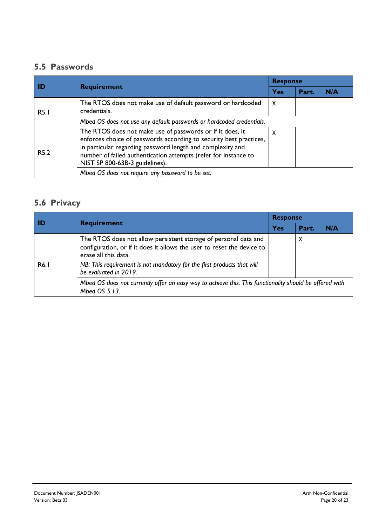#### **5.5 Passwords**

|                  | <b>Requirement</b>                                                                                                                                                                                                                                                                                 | <b>Response</b> |       |     |  |
|------------------|----------------------------------------------------------------------------------------------------------------------------------------------------------------------------------------------------------------------------------------------------------------------------------------------------|-----------------|-------|-----|--|
|                  |                                                                                                                                                                                                                                                                                                    | Yes             | Part. | N/A |  |
| <b>R5.1</b>      | The RTOS does not make use of default password or hardcoded<br>credentials.                                                                                                                                                                                                                        | $\mathsf{x}$    |       |     |  |
|                  | Mbed OS does not use any default passwords or hardcoded credentials.                                                                                                                                                                                                                               |                 |       |     |  |
| R <sub>5.2</sub> | The RTOS does not make use of passwords or if it does, it<br>enforces choice of passwords according to security best practices,<br>in particular regarding password length and complexity and<br>number of failed authentication attempts (refer for instance to<br>NIST SP 800-63B-3 guidelines). | X               |       |     |  |
|                  | Mbed OS does not require any password to be set.                                                                                                                                                                                                                                                   |                 |       |     |  |

#### **5.6 Privacy**

| ID                | <b>Requirement</b>                                                                                                                                                                                                                                                   | <b>Response</b> |       |     |  |
|-------------------|----------------------------------------------------------------------------------------------------------------------------------------------------------------------------------------------------------------------------------------------------------------------|-----------------|-------|-----|--|
|                   |                                                                                                                                                                                                                                                                      | Yes             | Part. | N/A |  |
| R <sub>6</sub> .1 | The RTOS does not allow persistent storage of personal data and<br>configuration, or if it does it allows the user to reset the device to<br>erase all this data.<br>NB: This requirement is not mandatory for the first products that will<br>be evaluated in 2019. |                 | X     |     |  |
|                   | Mbed OS does not currently offer an easy way to achieve this. This functionality should be offered with<br>Mbed OS 5.13.                                                                                                                                             |                 |       |     |  |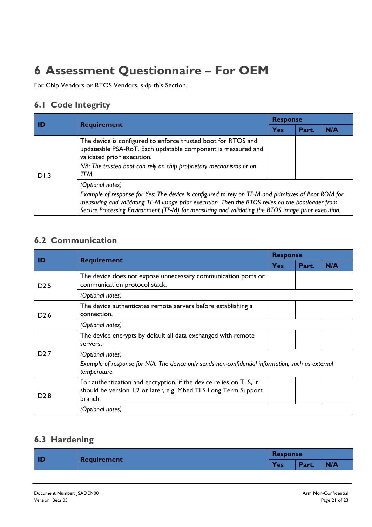## **6 Assessment Questionnaire – For OEM**

For Chip Vendors or RTOS Vendors, skip this Section.

#### **6.1 Code Integrity**

| l ID | <b>Requirement</b>                                                                                                                                                                                                                                                                                                                | <b>Response</b> |       |     |  |
|------|-----------------------------------------------------------------------------------------------------------------------------------------------------------------------------------------------------------------------------------------------------------------------------------------------------------------------------------|-----------------|-------|-----|--|
|      |                                                                                                                                                                                                                                                                                                                                   | Yes             | Part. | N/A |  |
| DI.3 | The device is configured to enforce trusted boot for RTOS and<br>updateable PSA-RoT. Each updatable component is measured and<br>validated prior execution.<br>NB: The trusted boot can rely on chip proprietary mechanisms or on<br>TFM.                                                                                         |                 |       |     |  |
|      | (Optional notes)<br>Example of response for Yes: The device is configured to rely on TF-M and primitives of Boot ROM for<br>measuring and validating TF-M image prior execution. Then the RTOS relies on the bootloader from<br>Secure Processing Environment (TF-M) for measuring and validating the RTOS image prior execution. |                 |       |     |  |

#### **6.2 Communication**

| ID               | <b>Requirement</b>                                                                                                                               | <b>Response</b> |       |     |  |
|------------------|--------------------------------------------------------------------------------------------------------------------------------------------------|-----------------|-------|-----|--|
|                  |                                                                                                                                                  | <b>Yes</b>      | Part. | N/A |  |
| D2.5             | The device does not expose unnecessary communication ports or<br>communication protocol stack.                                                   |                 |       |     |  |
|                  | (Optional notes)                                                                                                                                 |                 |       |     |  |
| D <sub>2.6</sub> | The device authenticates remote servers before establishing a<br>connection.                                                                     |                 |       |     |  |
|                  | (Optional notes)                                                                                                                                 |                 |       |     |  |
| D <sub>2.7</sub> | The device encrypts by default all data exchanged with remote<br>servers.                                                                        |                 |       |     |  |
|                  | (Optional notes)<br>Example of response for N/A: The device only sends non-confidential information, such as external<br>temperature.            |                 |       |     |  |
| D <sub>2.8</sub> | For authentication and encryption, if the device relies on TLS, it<br>should be version 1.2 or later, e.g. Mbed TLS Long Term Support<br>branch. |                 |       |     |  |
|                  | (Optional notes)                                                                                                                                 |                 |       |     |  |

### **6.3 Hardening**

| $\blacksquare$ | <b>Requirement</b> |            | <b>Response</b> |            |  |
|----------------|--------------------|------------|-----------------|------------|--|
|                |                    | <b>Yes</b> | Part.           | <b>N/A</b> |  |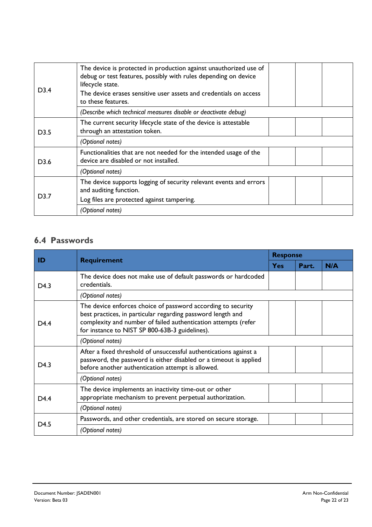| D3.4             | The device is protected in production against unauthorized use of<br>debug or test features, possibly with rules depending on device<br>lifecycle state.<br>The device erases sensitive user assets and credentials on access<br>to these features. |
|------------------|-----------------------------------------------------------------------------------------------------------------------------------------------------------------------------------------------------------------------------------------------------|
|                  | (Describe which technical measures disable or deactivate debug)                                                                                                                                                                                     |
| D <sub>3.5</sub> | The current security lifecycle state of the device is attestable<br>through an attestation token.                                                                                                                                                   |
|                  | (Optional notes)                                                                                                                                                                                                                                    |
| D <sub>3.6</sub> | Functionalities that are not needed for the intended usage of the<br>device are disabled or not installed.                                                                                                                                          |
|                  | (Optional notes)                                                                                                                                                                                                                                    |
| D3.7             | The device supports logging of security relevant events and errors<br>and auditing function.                                                                                                                                                        |
|                  | Log files are protected against tampering.                                                                                                                                                                                                          |
|                  | (Optional notes)                                                                                                                                                                                                                                    |

### **6.4 Passwords**

| ID               | <b>Requirement</b>                                                                                                                                                                                                                              | <b>Response</b> |       |     |
|------------------|-------------------------------------------------------------------------------------------------------------------------------------------------------------------------------------------------------------------------------------------------|-----------------|-------|-----|
|                  |                                                                                                                                                                                                                                                 | <b>Yes</b>      | Part. | N/A |
| D4.3             | The device does not make use of default passwords or hardcoded<br>credentials.                                                                                                                                                                  |                 |       |     |
|                  | (Optional notes)                                                                                                                                                                                                                                |                 |       |     |
| D <sub>4.4</sub> | The device enforces choice of password according to security<br>best practices, in particular regarding password length and<br>complexity and number of failed authentication attempts (refer<br>for instance to NIST SP 800-63B-3 guidelines). |                 |       |     |
|                  | (Optional notes)                                                                                                                                                                                                                                |                 |       |     |
| D <sub>4.3</sub> | After a fixed threshold of unsuccessful authentications against a<br>password, the password is either disabled or a timeout is applied<br>before another authentication attempt is allowed.                                                     |                 |       |     |
|                  | (Optional notes)                                                                                                                                                                                                                                |                 |       |     |
| D <sub>4.4</sub> | The device implements an inactivity time-out or other<br>appropriate mechanism to prevent perpetual authorization.                                                                                                                              |                 |       |     |
|                  | (Optional notes)                                                                                                                                                                                                                                |                 |       |     |
| D <sub>4.5</sub> | Passwords, and other credentials, are stored on secure storage.                                                                                                                                                                                 |                 |       |     |
|                  | (Optional notes)                                                                                                                                                                                                                                |                 |       |     |